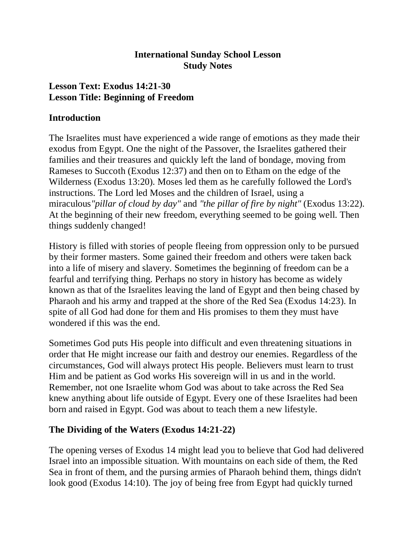#### **International Sunday School Lesson Study Notes**

### **Lesson Text: Exodus 14:21-30 Lesson Title: Beginning of Freedom**

#### **Introduction**

The Israelites must have experienced a wide range of emotions as they made their exodus from Egypt. One the night of the Passover, the Israelites gathered their families and their treasures and quickly left the land of bondage, moving from Rameses to Succoth (Exodus 12:37) and then on to Etham on the edge of the Wilderness (Exodus 13:20). Moses led them as he carefully followed the Lord's instructions. The Lord led Moses and the children of Israel, using a miraculous*"pillar of cloud by day"* and *"the pillar of fire by night"* (Exodus 13:22). At the beginning of their new freedom, everything seemed to be going well. Then things suddenly changed!

History is filled with stories of people fleeing from oppression only to be pursued by their former masters. Some gained their freedom and others were taken back into a life of misery and slavery. Sometimes the beginning of freedom can be a fearful and terrifying thing. Perhaps no story in history has become as widely known as that of the Israelites leaving the land of Egypt and then being chased by Pharaoh and his army and trapped at the shore of the Red Sea (Exodus 14:23). In spite of all God had done for them and His promises to them they must have wondered if this was the end.

Sometimes God puts His people into difficult and even threatening situations in order that He might increase our faith and destroy our enemies. Regardless of the circumstances, God will always protect His people. Believers must learn to trust Him and be patient as God works His sovereign will in us and in the world. Remember, not one Israelite whom God was about to take across the Red Sea knew anything about life outside of Egypt. Every one of these Israelites had been born and raised in Egypt. God was about to teach them a new lifestyle.

### **The Dividing of the Waters (Exodus 14:21-22)**

The opening verses of Exodus 14 might lead you to believe that God had delivered Israel into an impossible situation. With mountains on each side of them, the Red Sea in front of them, and the pursing armies of Pharaoh behind them, things didn't look good (Exodus 14:10). The joy of being free from Egypt had quickly turned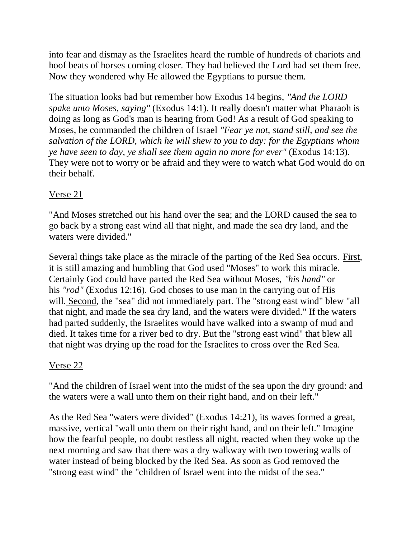into fear and dismay as the Israelites heard the rumble of hundreds of chariots and hoof beats of horses coming closer. They had believed the Lord had set them free. Now they wondered why He allowed the Egyptians to pursue them.

The situation looks bad but remember how Exodus 14 begins, *"And the LORD spake unto Moses, saying"* (Exodus 14:1). It really doesn't matter what Pharaoh is doing as long as God's man is hearing from God! As a result of God speaking to Moses, he commanded the children of Israel *"Fear ye not, stand still, and see the salvation of the LORD, which he will shew to you to day: for the Egyptians whom ye have seen to day, ye shall see them again no more for ever"* (Exodus 14:13). They were not to worry or be afraid and they were to watch what God would do on their behalf.

# Verse 21

"And Moses stretched out his hand over the sea; and the LORD caused the sea to go back by a strong east wind all that night, and made the sea dry land, and the waters were divided."

Several things take place as the miracle of the parting of the Red Sea occurs. First, it is still amazing and humbling that God used "Moses" to work this miracle. Certainly God could have parted the Red Sea without Moses, *"his hand"* or his *"rod"* (Exodus 12:16). God choses to use man in the carrying out of His will. Second, the "sea" did not immediately part. The "strong east wind" blew "all that night, and made the sea dry land, and the waters were divided." If the waters had parted suddenly, the Israelites would have walked into a swamp of mud and died. It takes time for a river bed to dry. But the "strong east wind" that blew all that night was drying up the road for the Israelites to cross over the Red Sea.

### Verse 22

"And the children of Israel went into the midst of the sea upon the dry ground: and the waters were a wall unto them on their right hand, and on their left."

As the Red Sea "waters were divided" (Exodus 14:21), its waves formed a great, massive, vertical "wall unto them on their right hand, and on their left." Imagine how the fearful people, no doubt restless all night, reacted when they woke up the next morning and saw that there was a dry walkway with two towering walls of water instead of being blocked by the Red Sea. As soon as God removed the "strong east wind" the "children of Israel went into the midst of the sea."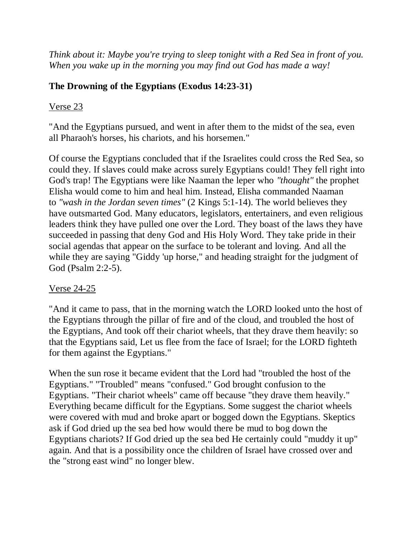*Think about it: Maybe you're trying to sleep tonight with a Red Sea in front of you. When you wake up in the morning you may find out God has made a way!*

# **The Drowning of the Egyptians (Exodus 14:23-31)**

#### Verse 23

"And the Egyptians pursued, and went in after them to the midst of the sea, even all Pharaoh's horses, his chariots, and his horsemen."

Of course the Egyptians concluded that if the Israelites could cross the Red Sea, so could they. If slaves could make across surely Egyptians could! They fell right into God's trap! The Egyptians were like Naaman the leper who *"thought"* the prophet Elisha would come to him and heal him. Instead, Elisha commanded Naaman to *"wash in the Jordan seven times"* (2 Kings 5:1-14). The world believes they have outsmarted God. Many educators, legislators, entertainers, and even religious leaders think they have pulled one over the Lord. They boast of the laws they have succeeded in passing that deny God and His Holy Word. They take pride in their social agendas that appear on the surface to be tolerant and loving. And all the while they are saying "Giddy 'up horse," and heading straight for the judgment of God (Psalm 2:2-5).

### Verse 24-25

"And it came to pass, that in the morning watch the LORD looked unto the host of the Egyptians through the pillar of fire and of the cloud, and troubled the host of the Egyptians, And took off their chariot wheels, that they drave them heavily: so that the Egyptians said, Let us flee from the face of Israel; for the LORD fighteth for them against the Egyptians."

When the sun rose it became evident that the Lord had "troubled the host of the Egyptians." "Troubled" means "confused." God brought confusion to the Egyptians. "Their chariot wheels" came off because "they drave them heavily." Everything became difficult for the Egyptians. Some suggest the chariot wheels were covered with mud and broke apart or bogged down the Egyptians. Skeptics ask if God dried up the sea bed how would there be mud to bog down the Egyptians chariots? If God dried up the sea bed He certainly could "muddy it up" again. And that is a possibility once the children of Israel have crossed over and the "strong east wind" no longer blew.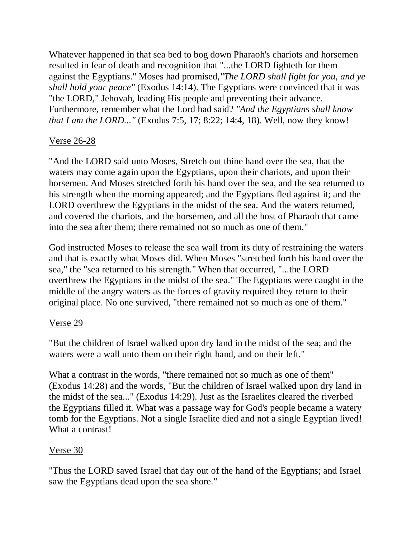Whatever happened in that sea bed to bog down Pharaoh's chariots and horsemen resulted in fear of death and recognition that "...the LORD fighteth for them against the Egyptians." Moses had promised,*"The LORD shall fight for you, and ye shall hold your peace"* (Exodus 14:14). The Egyptians were convinced that it was "the LORD," Jehovah, leading His people and preventing their advance. Furthermore, remember what the Lord had said? *"And the Egyptians shall know that I am the LORD..."* (Exodus 7:5, 17; 8:22; 14:4, 18). Well, now they know!

#### Verse 26-28

"And the LORD said unto Moses, Stretch out thine hand over the sea, that the waters may come again upon the Egyptians, upon their chariots, and upon their horsemen. And Moses stretched forth his hand over the sea, and the sea returned to his strength when the morning appeared; and the Egyptians fled against it; and the LORD overthrew the Egyptians in the midst of the sea. And the waters returned, and covered the chariots, and the horsemen, and all the host of Pharaoh that came into the sea after them; there remained not so much as one of them."

God instructed Moses to release the sea wall from its duty of restraining the waters and that is exactly what Moses did. When Moses "stretched forth his hand over the sea," the "sea returned to his strength." When that occurred, "...the LORD overthrew the Egyptians in the midst of the sea." The Egyptians were caught in the middle of the angry waters as the forces of gravity required they return to their original place. No one survived, "there remained not so much as one of them."

#### Verse 29

"But the children of Israel walked upon dry land in the midst of the sea; and the waters were a wall unto them on their right hand, and on their left."

What a contrast in the words, "there remained not so much as one of them" (Exodus 14:28) and the words, "But the children of Israel walked upon dry land in the midst of the sea..." (Exodus 14:29). Just as the Israelites cleared the riverbed the Egyptians filled it. What was a passage way for God's people became a watery tomb for the Egyptians. Not a single Israelite died and not a single Egyptian lived! What a contrast!

#### Verse 30

"Thus the LORD saved Israel that day out of the hand of the Egyptians; and Israel saw the Egyptians dead upon the sea shore."